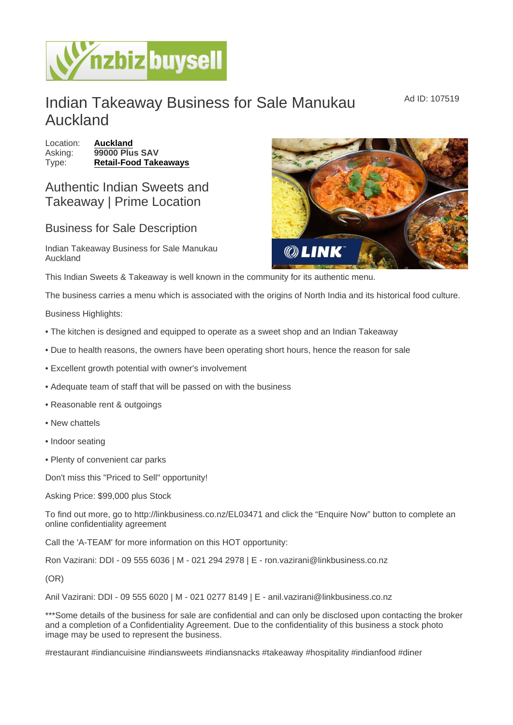## Indian Takeaway Business for Sale Manukau Auckland

Location: [Auckland](https://www.nzbizbuysell.co.nz/businesses-for-sale/location/Auckland) Asking: 99000 Plus SAV Type: [Retail-Food Takeaways](https://www.nzbizbuysell.co.nz/businesses-for-sale/Retail-Food-Takeaways/New-Zealand)

## Authentic Indian Sweets and Takeaway | Prime Location

## Business for Sale Description

Indian Takeaway Business for Sale Manukau Auckland

This Indian Sweets & Takeaway is well known in the community for its authentic menu.

The business carries a menu which is associated with the origins of North India and its historical food culture.

Business Highlights:

- The kitchen is designed and equipped to operate as a sweet shop and an Indian Takeaway
- Due to health reasons, the owners have been operating short hours, hence the reason for sale
- Excellent growth potential with owner's involvement
- Adequate team of staff that will be passed on with the business
- Reasonable rent & outgoings
- New chattels
- Indoor seating
- Plenty of convenient car parks

Don't miss this "Priced to Sell" opportunity!

Asking Price: \$99,000 plus Stock

To find out more, go to http://linkbusiness.co.nz/EL03471 and click the "Enquire Now" button to complete an online confidentiality agreement

Call the 'A-TEAM' for more information on this HOT opportunity:

Ron Vazirani: DDI - 09 555 6036 | M - 021 294 2978 | E - ron.vazirani@linkbusiness.co.nz

(OR)

Anil Vazirani: DDI - 09 555 6020 | M - 021 0277 8149 | E - anil.vazirani@linkbusiness.co.nz

\*\*\*Some details of the business for sale are confidential and can only be disclosed upon contacting the broker and a completion of a Confidentiality Agreement. Due to the confidentiality of this business a stock photo image may be used to represent the business.

#restaurant #indiancuisine #indiansweets #indiansnacks #takeaway #hospitality #indianfood #diner